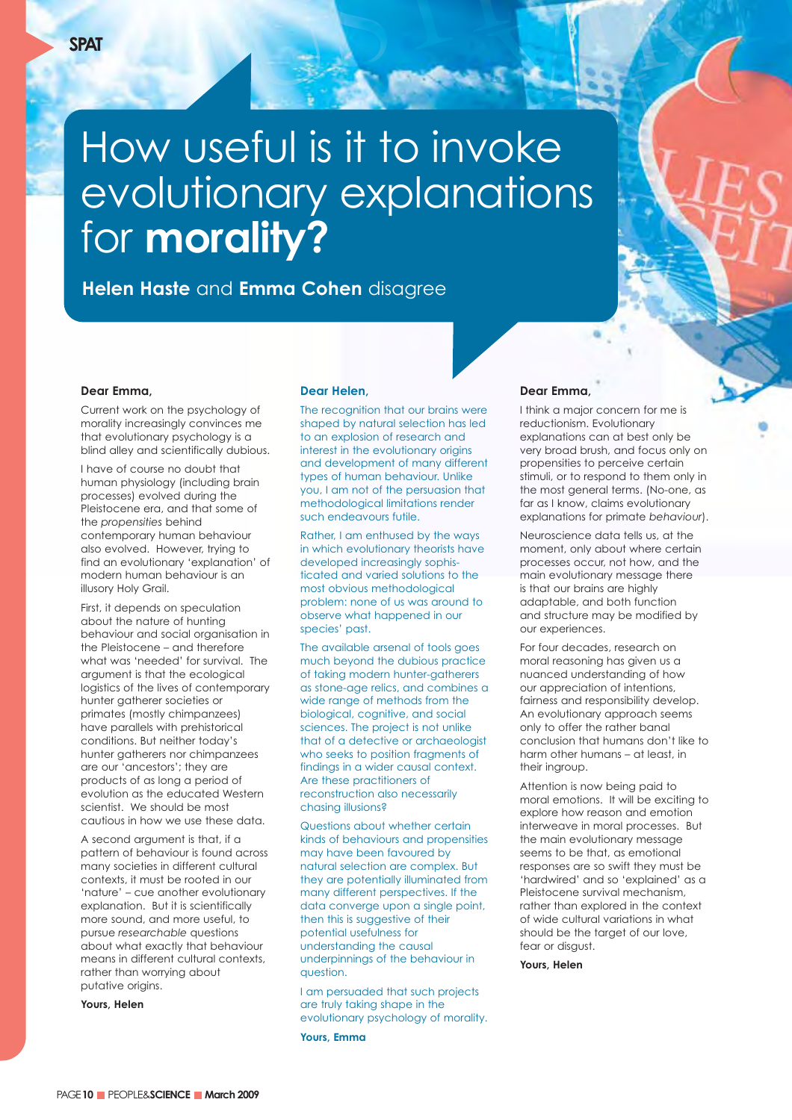# How useful is it to invoke evolutionary explanations for **morality?**

**Helen Haste** and **Emma Cohen** disagree

## **Dear Emma,**

Current work on the psychology of morality increasingly convinces me that evolutionary psychology is a blind alley and scientifically dubious.

I have of course no doubt that human physiology (including brain processes) evolved during the Pleistocene era, and that some of the *propensities* behind contemporary human behaviour also evolved. However, trying to find an evolutionary 'explanation' of modern human behaviour is an illusory Holy Grail.

First, it depends on speculation about the nature of hunting behaviour and social organisation in the Pleistocene – and therefore what was 'needed' for survival. The argument is that the ecological logistics of the lives of contemporary hunter gatherer societies or primates (mostly chimpanzees) have parallels with prehistorical conditions. But neither today's hunter gatherers nor chimpanzees are our 'ancestors'; they are products of as long a period of evolution as the educated Western scientist. We should be most cautious in how we use these data.

A second argument is that, if a pattern of behaviour is found across many societies in different cultural contexts, it must be rooted in our 'nature' – cue another evolutionary explanation. But it is scientifically more sound, and more useful, to pursue *researchable* questions about what exactly that behaviour means in different cultural contexts, rather than worrying about putative origins.

**Yours, Helen** 

### **Dear Helen,**

The recognition that our brains were shaped by natural selection has led to an explosion of research and interest in the evolutionary origins and development of many different types of human behaviour. Unlike you, I am not of the persuasion that methodological limitations render such endeavours futile.

Rather, I am enthused by the ways in which evolutionary theorists have developed increasingly sophisticated and varied solutions to the most obvious methodological problem: none of us was around to observe what happened in our species' past.

The available arsenal of tools goes much beyond the dubious practice of taking modern hunter-gatherers as stone-age relics, and combines a wide range of methods from the biological, cognitive, and social sciences. The project is not unlike that of a detective or archaeologist who seeks to position fragments of findings in a wider causal context. Are these practitioners of reconstruction also necessarily chasing illusions?

Questions about whether certain kinds of behaviours and propensities may have been favoured by natural selection are complex. But they are potentially illuminated from many different perspectives. If the data converge upon a single point, then this is suggestive of their potential usefulness for understanding the causal underpinnings of the behaviour in question.

I am persuaded that such projects are truly taking shape in the evolutionary psychology of morality.

**Yours, Emma**

# **Dear Emma,**

I think a major concern for me is reductionism. Evolutionary explanations can at best only be very broad brush, and focus only on propensities to perceive certain stimuli, or to respond to them only in the most general terms. (No-one, as far as I know, claims evolutionary explanations for primate *behaviour*).

Neuroscience data tells us, at the moment, only about where certain processes occur, not how, and the main evolutionary message there is that our brains are highly adaptable, and both function and structure may be modified by our experiences.

For four decades, research on moral reasoning has given us a nuanced understanding of how our appreciation of intentions, fairness and responsibility develop. An evolutionary approach seems only to offer the rather banal conclusion that humans don't like to harm other humans – at least, in their ingroup.

Attention is now being paid to moral emotions. It will be exciting to explore how reason and emotion interweave in moral processes. But the main evolutionary message seems to be that, as emotional responses are so swift they must be 'hardwired' and so 'explained' as a Pleistocene survival mechanism, rather than explored in the context of wide cultural variations in what should be the target of our love, fear or disgust.

**Yours, Helen**